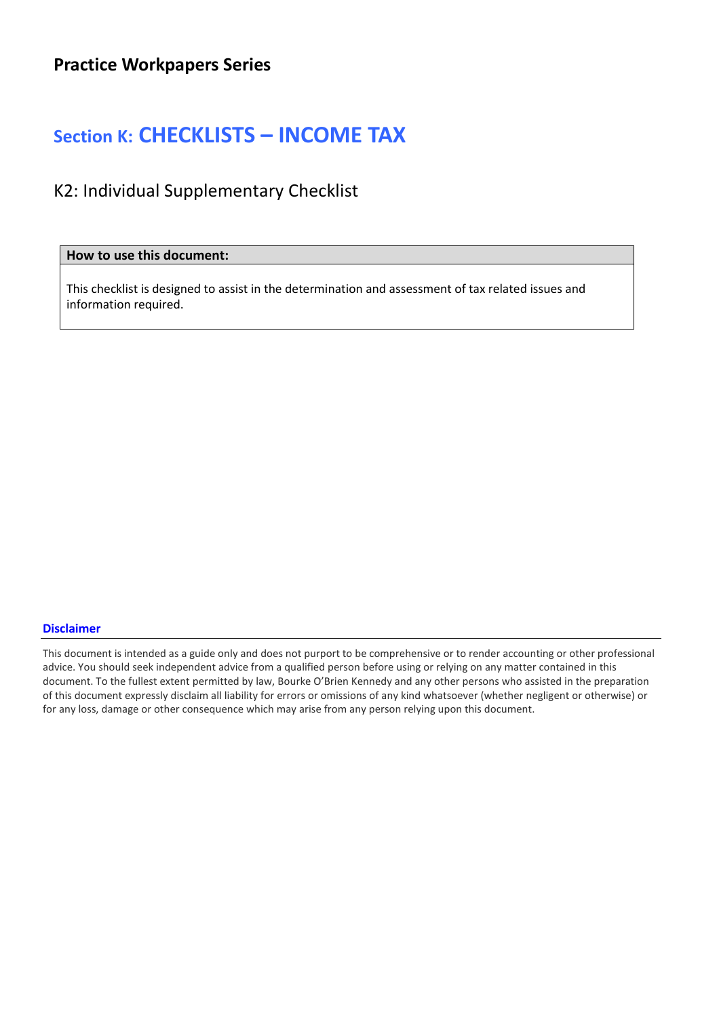## Section K: CHECKLISTS – INCOME TAX

K2: Individual Supplementary Checklist

How to use this document:

This checklist is designed to assist in the determination and assessment of tax related issues and information required.

## Disclaimer

This document is intended as a guide only and does not purport to be comprehensive or to render accounting or other professional advice. You should seek independent advice from a qualified person before using or relying on any matter contained in this document. To the fullest extent permitted by law, Bourke O'Brien Kennedy and any other persons who assisted in the preparation of this document expressly disclaim all liability for errors or omissions of any kind whatsoever (whether negligent or otherwise) or for any loss, damage or other consequence which may arise from any person relying upon this document.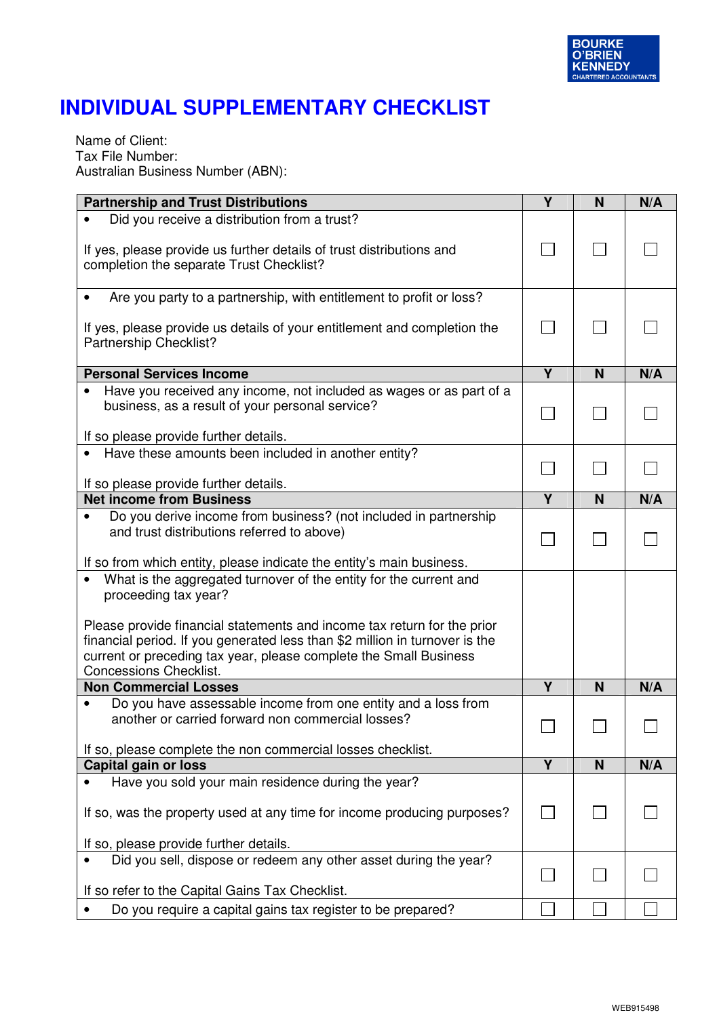

## **INDIVIDUAL SUPPLEMENTARY CHECKLIST**

Name of Client: Tax File Number: Australian Business Number (ABN):

| <b>Partnership and Trust Distributions</b>                                                                                                                                                                                                          | $\overline{\mathsf{Y}}$ | N | N/A |
|-----------------------------------------------------------------------------------------------------------------------------------------------------------------------------------------------------------------------------------------------------|-------------------------|---|-----|
| Did you receive a distribution from a trust?<br>If yes, please provide us further details of trust distributions and                                                                                                                                |                         |   |     |
| completion the separate Trust Checklist?                                                                                                                                                                                                            |                         |   |     |
| Are you party to a partnership, with entitlement to profit or loss?                                                                                                                                                                                 |                         |   |     |
| If yes, please provide us details of your entitlement and completion the<br>Partnership Checklist?                                                                                                                                                  |                         |   |     |
| <b>Personal Services Income</b>                                                                                                                                                                                                                     | $\overline{Y}$          | N | N/A |
| Have you received any income, not included as wages or as part of a<br>business, as a result of your personal service?<br>If so please provide further details.                                                                                     |                         |   |     |
| • Have these amounts been included in another entity?                                                                                                                                                                                               |                         |   |     |
| If so please provide further details.                                                                                                                                                                                                               |                         |   |     |
| <b>Net income from Business</b>                                                                                                                                                                                                                     | Y                       | N | N/A |
| Do you derive income from business? (not included in partnership<br>and trust distributions referred to above)<br>If so from which entity, please indicate the entity's main business.                                                              |                         |   |     |
| What is the aggregated turnover of the entity for the current and<br>proceeding tax year?<br>Please provide financial statements and income tax return for the prior<br>financial period. If you generated less than \$2 million in turnover is the |                         |   |     |
| current or preceding tax year, please complete the Small Business<br><b>Concessions Checklist.</b>                                                                                                                                                  |                         |   |     |
| <b>Non Commercial Losses</b>                                                                                                                                                                                                                        | Y                       | N | N/A |
| Do you have assessable income from one entity and a loss from<br>another or carried forward non commercial losses?<br>If so, please complete the non commercial losses checklist.                                                                   |                         |   |     |
| <b>Capital gain or loss</b>                                                                                                                                                                                                                         | Y                       | N | N/A |
| Have you sold your main residence during the year?                                                                                                                                                                                                  |                         |   |     |
| If so, was the property used at any time for income producing purposes?<br>If so, please provide further details.                                                                                                                                   |                         |   |     |
| Did you sell, dispose or redeem any other asset during the year?                                                                                                                                                                                    |                         |   |     |
| If so refer to the Capital Gains Tax Checklist.<br>Do you require a capital gains tax register to be prepared?                                                                                                                                      |                         |   |     |
|                                                                                                                                                                                                                                                     |                         |   |     |